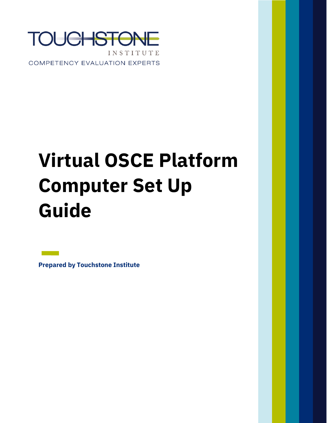

COMPETENCY EVALUATION EXPERTS

# **Virtual OSCE Platform Computer Set Up Guide**

**Prepared by Touchstone Institute**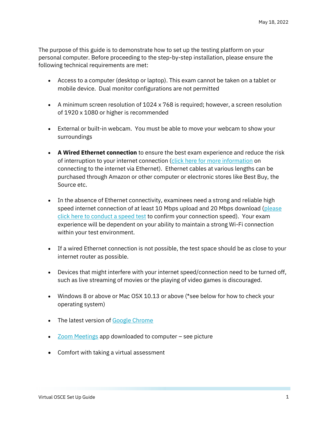The purpose of this guide is to demonstrate how to set up the testing platform on your personal computer. Before proceeding to the step-by-step installation, please ensure the following technical requirements are met:

- Access to a computer (desktop or laptop). This exam cannot be taken on a tablet or mobile device. Dual monitor configurations are not permitted
- A minimum screen resolution of 1024 x 768 is required; however, a screen resolution of 1920 x 1080 or higher is recommended
- External or built-in webcam. You must be able to move your webcam to show your surroundings
- **A Wired Ethernet connection** to ensure the best exam experience and reduce the risk of interruption to your internet connection [\(click here for more information](https://www.wikihow.com/Set-up-Ethernet) on connecting to the internet via Ethernet). Ethernet cables at various lengths can be purchased through Amazon or other computer or electronic stores like Best Buy, the Source etc.
- In the absence of Ethernet connectivity, examinees need a strong and reliable high speed internet connection of at least 10 Mbps upload and 20 Mbps download (please [click here to conduct a speed test](https://www.speedtest.net/) to confirm your connection speed). Your exam experience will be dependent on your ability to maintain a strong Wi-Fi connection within your test environment.
- If a wired Ethernet connection is not possible, the test space should be as close to your internet router as possible.
- Devices that might interfere with your internet speed/connection need to be turned off, such as live streaming of movies or the playing of video games is discouraged.
- Windows 8 or above or Mac OSX 10.13 or above (\*see below for how to check your operating system)
- The latest version of [Google Chrome](https://www.google.com/intl/en_ca/chrome/)
- [Zoom Meetings](https://zoom.us/download?_ga=2.182333415.1942370339.1652463518-1198082602.1651774571) app downloaded to computer see picture
- Comfort with taking a virtual assessment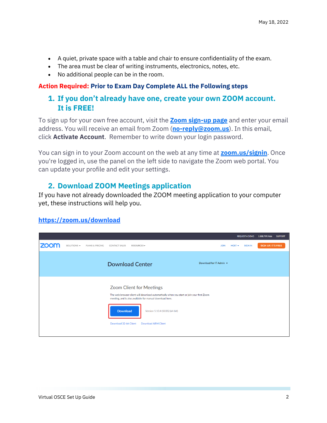- A quiet, private space with a table and chair to ensure confidentiality of the exam.
- The area must be clear of writing instruments, electronics, notes, etc.
- No additional people can be in the room.

#### **Action Required: Prior to Exam Day Complete ALL the Following steps**

# **1. If you don't already have one, create your own ZOOM account. It is FREE!**

To sign up for your own free account, visit the **[Zoom sign-up page](https://zoom.us/signup)** and enter your email address. You will receive an email from Zoom (**[no-reply@zoom.us](mailto:no-reply@zoom.us)**). In this email, click **Activate Account**. Remember to write down your login password.

You can sign in to your Zoom account on the web at any time at **[zoom.us/signin](https://zoom.us/signin)**. Once you're logged in, use the panel on the left side to navigate the Zoom web portal. You can update your profile and edit your settings.

# **2. Download ZOOM [Meetings application](https://zoom.us/download?_ga=2.182333415.1942370339.1652463518-1198082602.1651774571)**

If you have not already downloaded the ZOOM meeting application to your computer yet, these instructions will help you.

#### **<https://zoom.us/download>**

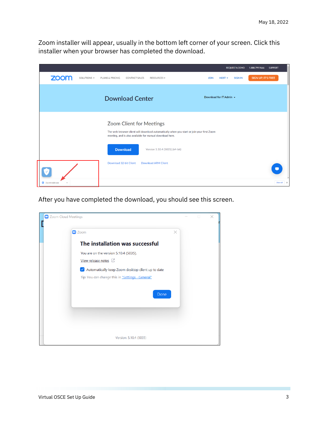Zoom installer will appear, usually in the bottom left corner of your screen. Click this installer when your browser has completed the download.



After you have completed the download, you should see this screen.

| CJ Zoom Cloud Meetings                                                                                                          | $\Box$ | × |
|---------------------------------------------------------------------------------------------------------------------------------|--------|---|
| $\Box$ Zoom<br>$\times$                                                                                                         |        |   |
| The installation was successful                                                                                                 |        |   |
| You are on the version 5.10.4 (5035).<br>View release notes $\oslash$                                                           |        |   |
| Automatically keep Zoom desktop client up to date<br>$\vert\checkmark\vert$<br>Tip: You can change this in "Settings - General" |        |   |
| Done                                                                                                                            |        |   |
|                                                                                                                                 |        |   |
| Version: 5.10.4 (5035)                                                                                                          |        |   |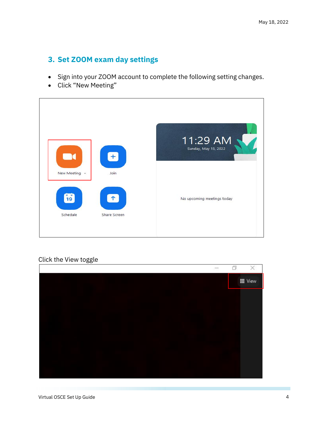# **3. Set ZOOM exam day settings**

- Sign into your ZOOM account to complete the following setting changes.
- Click "New Meeting"



#### Click the View toggle

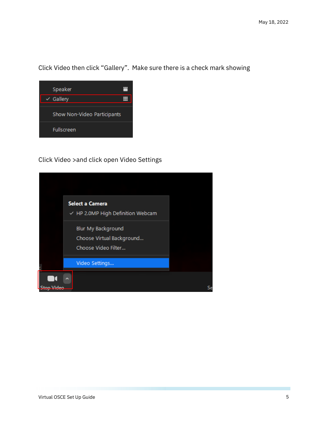Click Video then click "Gallery". Make sure there is a check mark showing



Click Video >and click open Video Settings

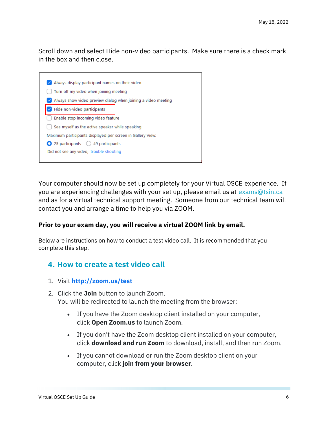Scroll down and select Hide non-video participants. Make sure there is a check mark in the box and then close.



Your computer should now be set up completely for your Virtual OSCE experience. If you are experiencing challenges with your set up, please email us at [exams@tsin.ca](mailto:exams@tsin.ca) and as for a virtual technical support meeting. Someone from our technical team will contact you and arrange a time to help you via ZOOM.

#### **Prior to your exam day, you will receive a virtual ZOOM link by email.**

Below are instructions on how to conduct a test video call. It is recommended that you complete this step.

## **4. How to create a test video call**

- 1. Visit **<http://zoom.us/test>**
- 2. Click the **Join** button to launch Zoom. You will be redirected to launch the meeting from the browser:
	- If you have the Zoom desktop client installed on your computer, click **Open Zoom.us** to launch Zoom.
	- If you don't have the Zoom desktop client installed on your computer, click **download and run Zoom** to download, install, and then run Zoom.
	- If you cannot download or run the Zoom desktop client on your computer, click **join from your browser**.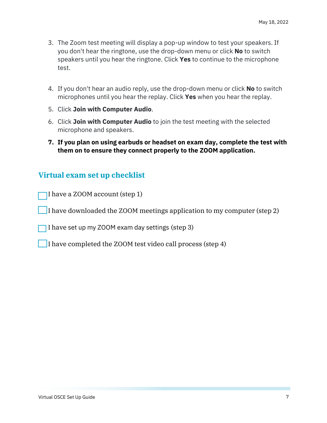- 3. The Zoom test meeting will display a pop-up window to test your speakers. If you don't hear the ringtone, use the drop-down menu or click **No** to switch speakers until you hear the ringtone. Click **Yes** to continue to the microphone test.
- 4. If you don't hear an audio reply, use the drop-down menu or click **No** to switch microphones until you hear the replay. Click **Yes** when you hear the replay.
- 5. Click **Join with Computer Audio**.
- 6. Click **Join with Computer Audio** to join the test meeting with the selected microphone and speakers.
- **7. If you plan on using earbuds or headset on exam day, complete the test with them on to ensure they connect properly to the ZOOM application.**

## **Virtual exam set up checklist**

- I have a ZOOM account (step 1)
- I have downloaded the ZOOM meetings application to my computer (step 2)
- I have set up my ZOOM exam day settings (step 3)
- I have completed the ZOOM test video call process (step 4)